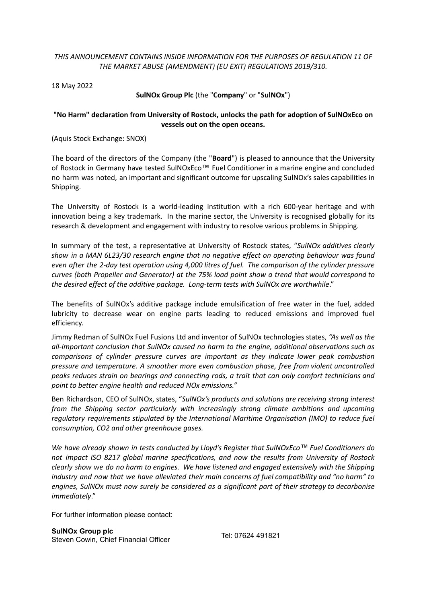## *THIS ANNOUNCEMENT CONTAINS INSIDE INFORMATION FOR THE PURPOSES OF REGULATION 11 OF THE MARKET ABUSE (AMENDMENT) (EU EXIT) REGULATIONS 2019/310.*

18 May 2022

## **SulNOx Group Plc** (the "**Company**" or "**SulNOx**")

## **"No Harm" declaration from University of Rostock, unlocks the path for adoption of SulNOxEco on vessels out on the open oceans.**

(Aquis Stock Exchange: SNOX)

The board of the directors of the Company (the "**Board**") is pleased to announce that the University of Rostock in Germany have tested SulNOxEco™ Fuel Conditioner in a marine engine and concluded no harm was noted, an important and significant outcome for upscaling SulNOx's sales capabilities in Shipping.

The University of Rostock is a world-leading institution with a rich 600-year heritage and with innovation being a key trademark. In the marine sector, the University is recognised globally for its research & development and engagement with industry to resolve various problems in Shipping.

In summary of the test, a representative at University of Rostock states, "*SulNOx additives clearly show in a MAN 6L23/30 research engine that no negative effect on operating behaviour was found even after the 2-day test operation using 4,000 litres of fuel. The comparison of the cylinder pressure curves (both Propeller and Generator) at the 75% load point show a trend that would correspond to the desired effect of the additive package. Long-term tests with SulNOx are worthwhile*."

The benefits of SulNOx's additive package include emulsification of free water in the fuel, added lubricity to decrease wear on engine parts leading to reduced emissions and improved fuel efficiency.

Jimmy Redman of SulNOx Fuel Fusions Ltd and inventor of SulNOx technologies states, *"As well as the all-important conclusion that SulNOx caused no harm to the engine, additional observations such as comparisons of cylinder pressure curves are important as they indicate lower peak combustion pressure and temperature. A smoother more even combustion phase, free from violent uncontrolled peaks reduces strain on bearings and connecting rods, a trait that can only comfort technicians and point to better engine health and reduced NOx emissions."*

Ben Richardson, CEO of SulNOx, states, "*SulNOx's products and solutions are receiving strong interest from the Shipping sector particularly with increasingly strong climate ambitions and upcoming regulatory requirements stipulated by the International Maritime Organisation (IMO) to reduce fuel consumption, CO2 and other greenhouse gases.*

*We have already shown in tests conducted by Lloyd's Register that SulNOxEco™ Fuel Conditioners do not impact ISO 8217 global marine specifications, and now the results from University of Rostock clearly show we do no harm to engines. We have listened and engaged extensively with the Shipping industry and now that we have alleviated their main concerns of fuel compatibility and "no harm" to engines, SulNOx must now surely be considered as a significant part of their strategy to decarbonise immediately*."

For further information please contact: